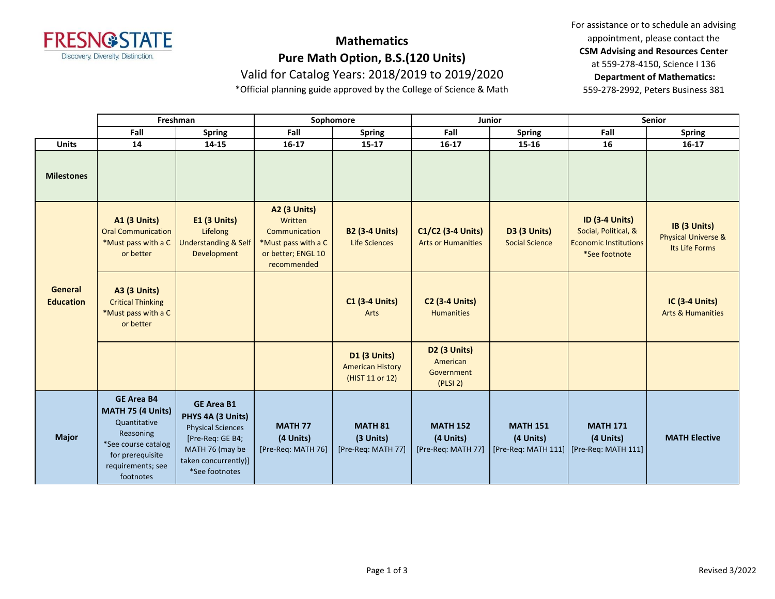

# **Mathematics Pure Math Option, B.S.(120 Units)**

Valid for Catalog Years: 2018/2019 to 2019/2020

\*Official planning guide approved by the College of Science & Math

For assistance or to schedule an advising appointment, please contact the **CSM Advising and Resources Center** at 559-278-4150, Science I 136 **Department of Mathematics:** 559-278-2992, Peters Business 381

|                             | Freshman                                                                                                                                         |                                                                                                                                                     | Sophomore                                                                                                   |                                                                   | Junior                                                    |                                       | Senior                                                                                         |                                                       |
|-----------------------------|--------------------------------------------------------------------------------------------------------------------------------------------------|-----------------------------------------------------------------------------------------------------------------------------------------------------|-------------------------------------------------------------------------------------------------------------|-------------------------------------------------------------------|-----------------------------------------------------------|---------------------------------------|------------------------------------------------------------------------------------------------|-------------------------------------------------------|
|                             | Fall                                                                                                                                             | <b>Spring</b>                                                                                                                                       | Fall                                                                                                        | <b>Spring</b>                                                     | Fall                                                      | <b>Spring</b>                         | Fall                                                                                           | <b>Spring</b>                                         |
| <b>Units</b>                | 14                                                                                                                                               | 14-15                                                                                                                                               | $16-17$                                                                                                     | $15 - 17$                                                         | $16-17$                                                   | 15-16                                 | 16                                                                                             | $16-17$                                               |
| <b>Milestones</b>           |                                                                                                                                                  |                                                                                                                                                     |                                                                                                             |                                                                   |                                                           |                                       |                                                                                                |                                                       |
| General<br><b>Education</b> | <b>A1 (3 Units)</b><br><b>Oral Communication</b><br>*Must pass with a C<br>or better                                                             | <b>E1 (3 Units)</b><br>Lifelong<br><b>Understanding &amp; Self</b><br>Development                                                                   | <b>A2 (3 Units)</b><br>Written<br>Communication<br>*Must pass with a C<br>or better; ENGL 10<br>recommended | <b>B2 (3-4 Units)</b><br><b>Life Sciences</b>                     | C1/C2 (3-4 Units)<br><b>Arts or Humanities</b>            | D3 (3 Units)<br><b>Social Science</b> | <b>ID (3-4 Units)</b><br>Social, Political, &<br><b>Economic Institutions</b><br>*See footnote | IB (3 Units)<br>Physical Universe &<br>Its Life Forms |
|                             | <b>A3 (3 Units)</b><br><b>Critical Thinking</b><br>*Must pass with a C<br>or better                                                              |                                                                                                                                                     |                                                                                                             | <b>C1 (3-4 Units)</b><br>Arts                                     | <b>C2 (3-4 Units)</b><br><b>Humanities</b>                |                                       |                                                                                                | IC (3-4 Units)<br><b>Arts &amp; Humanities</b>        |
|                             |                                                                                                                                                  |                                                                                                                                                     |                                                                                                             | <b>D1 (3 Units)</b><br><b>American History</b><br>(HIST 11 or 12) | <b>D2 (3 Units)</b><br>American<br>Government<br>(PLSI 2) |                                       |                                                                                                |                                                       |
| <b>Major</b>                | <b>GE Area B4</b><br>MATH 75 (4 Units)<br>Quantitative<br>Reasoning<br>*See course catalog<br>for prerequisite<br>requirements; see<br>footnotes | <b>GE Area B1</b><br>PHYS 4A (3 Units)<br><b>Physical Sciences</b><br>[Pre-Req: GE B4;<br>MATH 76 (may be<br>taken concurrently)]<br>*See footnotes | <b>MATH 77</b><br>(4 Units)<br>[Pre-Req: MATH 76]                                                           | <b>MATH 81</b><br>(3 Units)<br>[Pre-Req: MATH 77]                 | <b>MATH 152</b><br>(4 Units)<br>[Pre-Req: MATH 77]        | <b>MATH 151</b><br>(4 Units)          | <b>MATH 171</b><br>(4 Units)<br>[Pre-Req: MATH 111] [Pre-Req: MATH 111]                        | <b>MATH Elective</b>                                  |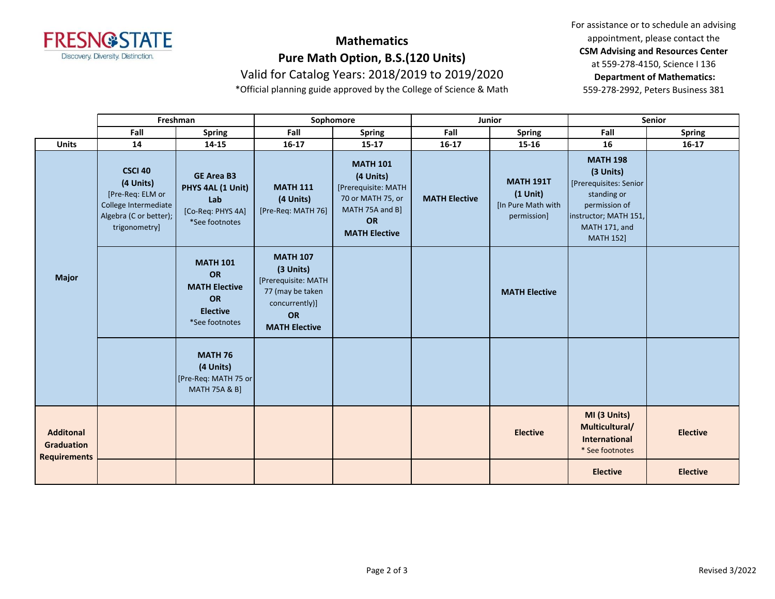

# **Mathematics Pure Math Option, B.S.(120 Units)**

Valid for Catalog Years: 2018/2019 to 2019/2020

\*Official planning guide approved by the College of Science & Math

For assistance or to schedule an advising appointment, please contact the **CSM Advising and Resources Center** at 559-278-4150, Science I 136 **Department of Mathematics:** 559-278-2992, Peters Business 381

|                                                              | Freshman                                                                                                           |                                                                                                        | Sophomore                                                                                                               |                                                                                                                           | Junior               |                                                                     | Senior                                                                                                                                               |                 |
|--------------------------------------------------------------|--------------------------------------------------------------------------------------------------------------------|--------------------------------------------------------------------------------------------------------|-------------------------------------------------------------------------------------------------------------------------|---------------------------------------------------------------------------------------------------------------------------|----------------------|---------------------------------------------------------------------|------------------------------------------------------------------------------------------------------------------------------------------------------|-----------------|
|                                                              | Fall                                                                                                               | <b>Spring</b>                                                                                          | Fall                                                                                                                    | <b>Spring</b>                                                                                                             | Fall                 | <b>Spring</b>                                                       | Fall                                                                                                                                                 | <b>Spring</b>   |
| <b>Units</b>                                                 | 14                                                                                                                 | 14-15                                                                                                  | $16-17$                                                                                                                 | $15 - 17$                                                                                                                 | $16 - 17$            | 15-16                                                               | 16                                                                                                                                                   | $16-17$         |
| <b>Major</b>                                                 | <b>CSCI 40</b><br>(4 Units)<br>[Pre-Req: ELM or<br>College Intermediate<br>Algebra (C or better);<br>trigonometry] | <b>GE Area B3</b><br>PHYS 4AL (1 Unit)<br>Lab<br>[Co-Req: PHYS 4A]<br>*See footnotes                   | <b>MATH 111</b><br>(4 Units)<br>[Pre-Req: MATH 76]                                                                      | <b>MATH 101</b><br>(4 Units)<br>[Prerequisite: MATH<br>70 or MATH 75, or<br>MATH 75A and B]<br>OR<br><b>MATH Elective</b> | <b>MATH Elective</b> | <b>MATH 191T</b><br>$(1$ Unit)<br>[In Pure Math with<br>permission] | <b>MATH 198</b><br>(3 Units)<br>[Prerequisites: Senior<br>standing or<br>permission of<br>instructor; MATH 151,<br>MATH 171, and<br><b>MATH 152]</b> |                 |
|                                                              |                                                                                                                    | <b>MATH 101</b><br><b>OR</b><br><b>MATH Elective</b><br><b>OR</b><br><b>Elective</b><br>*See footnotes | <b>MATH 107</b><br>(3 Units)<br>[Prerequisite: MATH<br>77 (may be taken<br>concurrently)]<br>OR<br><b>MATH Elective</b> |                                                                                                                           |                      | <b>MATH Elective</b>                                                |                                                                                                                                                      |                 |
|                                                              |                                                                                                                    | <b>MATH 76</b><br>(4 Units)<br>[Pre-Req: MATH 75 or<br><b>MATH 75A &amp; B]</b>                        |                                                                                                                         |                                                                                                                           |                      |                                                                     |                                                                                                                                                      |                 |
| <b>Additonal</b><br><b>Graduation</b><br><b>Requirements</b> |                                                                                                                    |                                                                                                        |                                                                                                                         |                                                                                                                           |                      | <b>Elective</b>                                                     | MI (3 Units)<br>Multicultural/<br>International<br>* See footnotes                                                                                   | <b>Elective</b> |
|                                                              |                                                                                                                    |                                                                                                        |                                                                                                                         |                                                                                                                           |                      |                                                                     | <b>Elective</b>                                                                                                                                      | <b>Elective</b> |